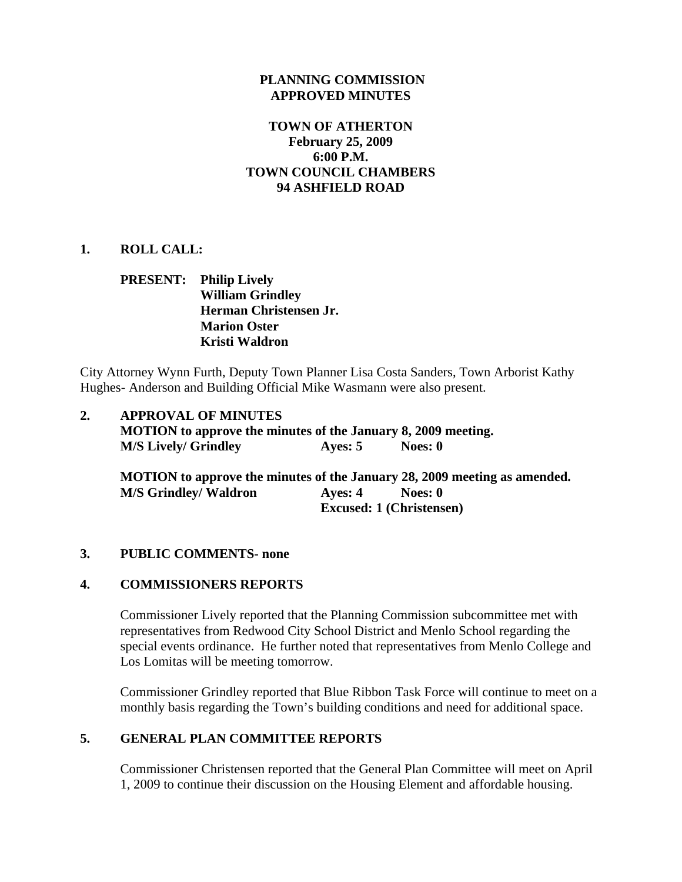### **PLANNING COMMISSION APPROVED MINUTES**

### **TOWN OF ATHERTON February 25, 2009 6:00 P.M. TOWN COUNCIL CHAMBERS 94 ASHFIELD ROAD**

### **1. ROLL CALL:**

# **PRESENT: Philip Lively William Grindley Herman Christensen Jr. Marion Oster Kristi Waldron**

City Attorney Wynn Furth, Deputy Town Planner Lisa Costa Sanders, Town Arborist Kathy Hughes- Anderson and Building Official Mike Wasmann were also present.

# **2. APPROVAL OF MINUTES MOTION to approve the minutes of the January 8, 2009 meeting. M/S Lively/ Grindley Ayes: 5 Noes: 0**

 **MOTION to approve the minutes of the January 28, 2009 meeting as amended. M/S Grindley/ Waldron Ayes: 4 Noes: 0 Excused: 1 (Christensen)** 

### **3. PUBLIC COMMENTS- none**

### **4. COMMISSIONERS REPORTS**

Commissioner Lively reported that the Planning Commission subcommittee met with representatives from Redwood City School District and Menlo School regarding the special events ordinance. He further noted that representatives from Menlo College and Los Lomitas will be meeting tomorrow.

Commissioner Grindley reported that Blue Ribbon Task Force will continue to meet on a monthly basis regarding the Town's building conditions and need for additional space.

### **5. GENERAL PLAN COMMITTEE REPORTS**

Commissioner Christensen reported that the General Plan Committee will meet on April 1, 2009 to continue their discussion on the Housing Element and affordable housing.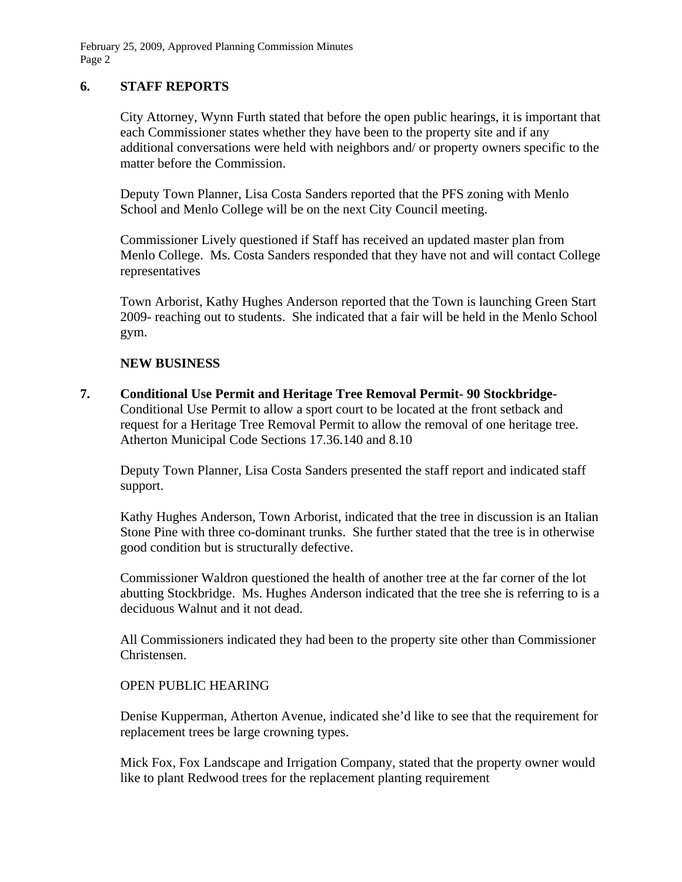February 25, 2009, Approved Planning Commission Minutes Page 2

### **6. STAFF REPORTS**

City Attorney, Wynn Furth stated that before the open public hearings, it is important that each Commissioner states whether they have been to the property site and if any additional conversations were held with neighbors and/ or property owners specific to the matter before the Commission.

Deputy Town Planner, Lisa Costa Sanders reported that the PFS zoning with Menlo School and Menlo College will be on the next City Council meeting.

Commissioner Lively questioned if Staff has received an updated master plan from Menlo College. Ms. Costa Sanders responded that they have not and will contact College representatives

Town Arborist, Kathy Hughes Anderson reported that the Town is launching Green Start 2009- reaching out to students. She indicated that a fair will be held in the Menlo School gym.

### **NEW BUSINESS**

**7. Conditional Use Permit and Heritage Tree Removal Permit- 90 Stockbridge-**Conditional Use Permit to allow a sport court to be located at the front setback and request for a Heritage Tree Removal Permit to allow the removal of one heritage tree. Atherton Municipal Code Sections 17.36.140 and 8.10

Deputy Town Planner, Lisa Costa Sanders presented the staff report and indicated staff support.

Kathy Hughes Anderson, Town Arborist, indicated that the tree in discussion is an Italian Stone Pine with three co-dominant trunks. She further stated that the tree is in otherwise good condition but is structurally defective.

Commissioner Waldron questioned the health of another tree at the far corner of the lot abutting Stockbridge. Ms. Hughes Anderson indicated that the tree she is referring to is a deciduous Walnut and it not dead.

All Commissioners indicated they had been to the property site other than Commissioner Christensen.

### OPEN PUBLIC HEARING

Denise Kupperman, Atherton Avenue, indicated she'd like to see that the requirement for replacement trees be large crowning types.

Mick Fox, Fox Landscape and Irrigation Company, stated that the property owner would like to plant Redwood trees for the replacement planting requirement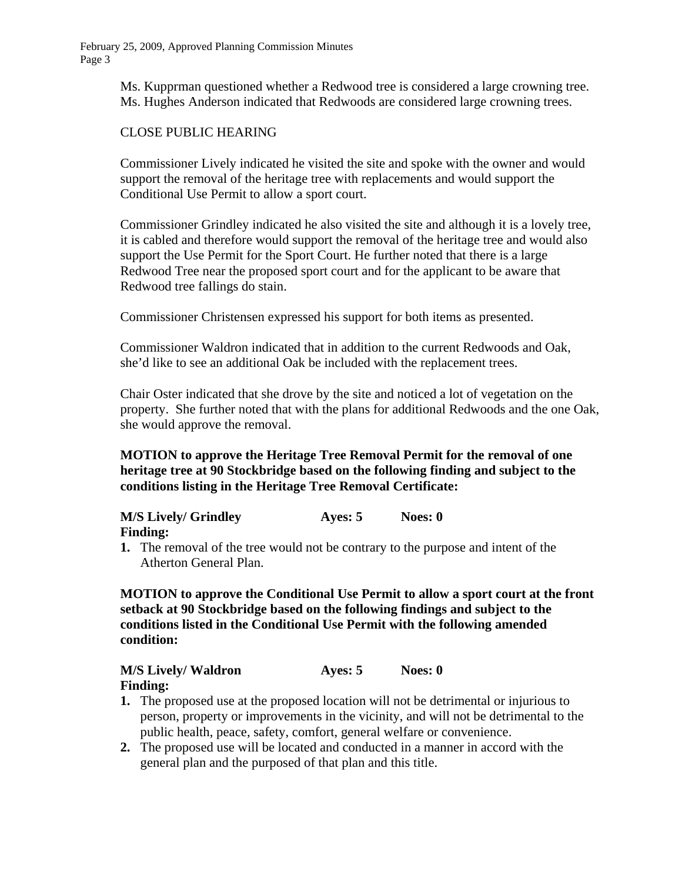Ms. Kupprman questioned whether a Redwood tree is considered a large crowning tree. Ms. Hughes Anderson indicated that Redwoods are considered large crowning trees.

# CLOSE PUBLIC HEARING

Commissioner Lively indicated he visited the site and spoke with the owner and would support the removal of the heritage tree with replacements and would support the Conditional Use Permit to allow a sport court.

Commissioner Grindley indicated he also visited the site and although it is a lovely tree, it is cabled and therefore would support the removal of the heritage tree and would also support the Use Permit for the Sport Court. He further noted that there is a large Redwood Tree near the proposed sport court and for the applicant to be aware that Redwood tree fallings do stain.

Commissioner Christensen expressed his support for both items as presented.

Commissioner Waldron indicated that in addition to the current Redwoods and Oak, she'd like to see an additional Oak be included with the replacement trees.

Chair Oster indicated that she drove by the site and noticed a lot of vegetation on the property. She further noted that with the plans for additional Redwoods and the one Oak, she would approve the removal.

 **MOTION to approve the Heritage Tree Removal Permit for the removal of one heritage tree at 90 Stockbridge based on the following finding and subject to the conditions listing in the Heritage Tree Removal Certificate:** 

| <b>M/S Lively/ Grindley</b> | Ayes: 5 | Noes: 0 |
|-----------------------------|---------|---------|
| <b>Finding:</b>             |         |         |

**1.** The removal of the tree would not be contrary to the purpose and intent of the Atherton General Plan.

**MOTION to approve the Conditional Use Permit to allow a sport court at the front setback at 90 Stockbridge based on the following findings and subject to the conditions listed in the Conditional Use Permit with the following amended condition:** 

**M/S Lively/ Waldron Ayes: 5** Noes: 0 **Finding:** 

- **1.** The proposed use at the proposed location will not be detrimental or injurious to person, property or improvements in the vicinity, and will not be detrimental to the public health, peace, safety, comfort, general welfare or convenience.
- **2.** The proposed use will be located and conducted in a manner in accord with the general plan and the purposed of that plan and this title.